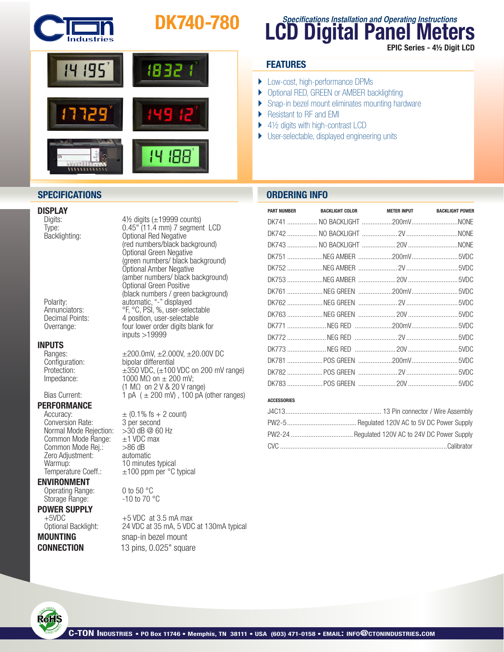

# DK740-780



# **DISPLAY**<br>Digits:

# **INPUTS**<br>
Ranges:

# **PERFORMANCE**<br>Accuracy:

Conversion Rate: 3 per second<br>Normal Mode Reiection: > 30 dB @ 60 Hz Normal Mode Rejection:  $>30$  dB @ 60<br>Common Mode Range:  $\pm 1$  VDC max Common Mode Range:  $\pm 1$  VDC<br>Common Mode Rei.:  $>86$  dB Common Mode Rej.:  $>86$  dB<br>Zero Adiustment: automatic Zero Adjustment:<br>Warmup:

### ENVIRONMENT

Operating Range:  $0$  to 50 °C<br>Storage Range:  $-10$  to 70 °C Storage Range:

 $4\frac{1}{2}$  digits ( $\pm$ 19999 counts) Type: 0.45" (11.4 mm) 7 segment LCD Backlighting:<br>
(red numbers/black background)<br>
Optional Green Negative<br>
(green numbers/ black background)<br>
Optional Amber Negative<br>
(amber numbers/ black background)<br>
Optional Green Positive<br>
(black numbers / green backgro Polarity: automatic, "-" displayed Annunciators:<br>
Pr, °C, PSI, %, user-selectable<br>
Decimal Points:<br>
4 position, user-selectable 4 position, user-selectable Overrange: four lower order digits blank for inputs >19999

Ranges:  $±200.0mV, ±2.000V, ±20.00V$  DC<br>Configuration: bipolar differential Configuration: bipolar differential<br>Protection:  $\pm 350$  VDC,  $(\pm 100$  $\pm$ 350 VDC, ( $\pm$ 100 VDC on 200 mV range) Impedance:  $1000 \text{ M}\Omega \text{ on } \pm 200 \text{ mV};$  $\begin{array}{lll} \text{1 M}\Omega & \text{on } 2 \text{ V} \& 20 \text{ V range} \end{array}$ <br>Bias Current:  $\begin{array}{lll} 1 \text{ pA} & (\pm 200 \text{ mV}) & 100 \text{ pA} \end{array}$ 1 pA  $( \pm 200 \text{ mV})$ , 100 pA (other ranges)

 $\pm$  (0.1% fs + 2 count)<br>3 per second 10 minutes typical Temperature Coeff.:  $\pm 100$  ppm per  $\degree$ C typical

**POWER SUPPLY**<br>+5 VDC at 3.5 mA max<br>Optional Backlight: 24 VDC at 35 mA. 5 VDC 24 VDC at 35 mA, 5 VDC at 130mA typical **MOUNTING** snap-in bezel mount **CONNECTION** 13 pins, 0.025" square

# **LCD Digital Panel Meters Specifications Installation and Operating Instructions** EPIC Series - 4½ Digit LCD

## **FEATURES**

- ▶ Low-cost, high-performance DPMs
- ▶ Optional RED, GREEN or AMBER backlighting
- ▶ Snap-in bezel mount eliminates mounting hardware
- ▶ Resistant to RF and EMI
- $\blacktriangleright$  4½ digits with high-contrast LCD
- } User-selectable, displayed engineering units

## **SPECIFICATIONS ORDERING INFO**

| <b>PART NUMBER</b> | <b>BACKLIGHT COLOR</b> | METER INPUT BACKLIGHT POWER |
|--------------------|------------------------|-----------------------------|
|                    |                        |                             |
|                    |                        |                             |
|                    |                        |                             |
|                    |                        |                             |
|                    |                        |                             |
|                    |                        |                             |
|                    |                        |                             |
|                    |                        |                             |
|                    |                        |                             |
|                    |                        |                             |
|                    |                        |                             |
|                    |                        |                             |
|                    |                        |                             |
|                    |                        |                             |
|                    |                        |                             |

### **ACCESSORIES**